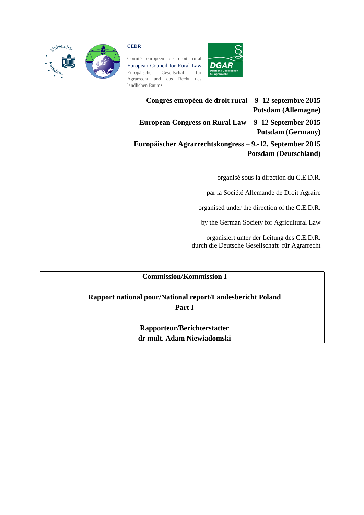

#### **CEDR**

Comité européen de droit rural European Council for Rural Law Europäische Gesellschaft für Agrarrecht und das Recht des ländlichen Raums



**Congrès européen de droit rural – 9–12 septembre 2015 Potsdam (Allemagne) European Congress on Rural Law – 9–12 September 2015 Potsdam (Germany) Europäischer Agrarrechtskongress – 9.-12. September 2015 Potsdam (Deutschland)**

organisé sous la direction du C.E.D.R.

par la Société Allemande de Droit Agraire

organised under the direction of the C.E.D.R.

by the German Society for Agricultural Law

organisiert unter der Leitung des C.E.D.R. durch die Deutsche Gesellschaft für Agrarrecht

# **Commission/Kommission I**

**Rapport national pour/National report/Landesbericht Poland Part I**

> **Rapporteur/Berichterstatter dr mult. Adam Niewiadomski**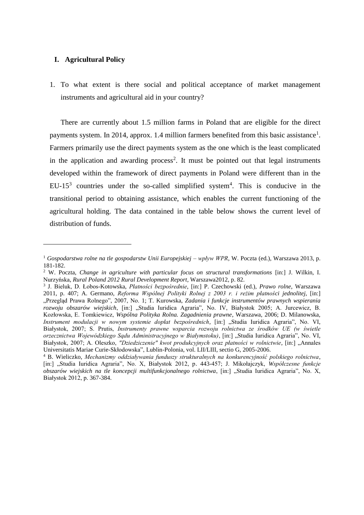## **I. Agricultural Policy**

 $\overline{a}$ 

1. To what extent is there social and political acceptance of market management instruments and agricultural aid in your country?

There are currently about 1.5 million farms in Poland that are eligible for the direct payments system. In 2014, approx. 1.4 million farmers benefited from this basic assistance<sup>1</sup>. Farmers primarily use the direct payments system as the one which is the least complicated in the application and awarding process<sup>2</sup>. It must be pointed out that legal instruments developed within the framework of direct payments in Poland were different than in the EU-15<sup>3</sup> countries under the so-called simplified system<sup>4</sup>. This is conducive in the transitional period to obtaining assistance, which enables the current functioning of the agricultural holding. The data contained in the table below shows the current level of distribution of funds.

<sup>1</sup> *Gospodarstwa rolne na tle gospodarstw Unii Europejskiej – wpływ WPR*, W. Poczta (ed.), Warszawa 2013, p. 181-182.

<sup>2</sup> W. Poczta, *Change in agriculture with particular focus on structural transformations* [in:] J. Wilkin, I. Nurzyńska, *Rural Poland 2012 Rural Development Report,* Warszawa2012, p. 82.

<sup>3</sup> J. Bieluk, D. Łobos-Kotowska, *Płatności bezpośrednie*, [in:] P. Czechowski (ed.), *Prawo rolne*, Warszawa 2011, p. 407; A. Germano, *Reforma Wspólnej Polityki Rolnej z 2003 r. i reżim płatności jednolitej*, [in:] "Przegląd Prawa Rolnego", 2007, No. 1; T. Kurowska, *Zadania i funkcje instrumentów prawnych wspierania rozwoju obszarów wiejskich*, [in:] "Studia Iuridica Agraria", No. IV, Białystok 2005; A. Jurcewicz, B. Kozłowska, E. Tomkiewicz, *Wspólna Polityka Rolna. Zagadnienia prawne*, Warszawa, 2006; D. Milanowska, *Instrument modulacji w nowym systemie dopłat bezpośrednich*, [in:] "Studia Iuridica Agraria", No. VI, Białystok, 2007; S. Prutis, *Instrumenty prawne wsparcia rozwoju rolnictwa ze środków UE (w świetle orzecznictwa Wojewódzkiego Sądu Administracyjnego w Białymstoku)*, [in:] "Studia Iuridica Agraria", No. VI, Białystok, 2007; A. Oleszko, "Dziedziczenie" kwot produkcyjnych oraz płatności w rolnictwie, [in:] "Annales Universitatis Mariae Curie-Skłodowska", Lublin-Polonia, vol. LII/LIII, sectio G, 2005-2006.

<sup>4</sup> B. Wieliczko, *Mechanizmy oddziaływania funduszy strukturalnych na konkurencyjność polskiego rolnictwa*, [in:] "Studia Iuridica Agraria", No. X, Białystok 2012, p. 443-457; J. Mikołajczyk, *Współczesne funkcje obszarów wiejskich na tle koncepcji multifunkcjonalnego rolnictwa*, [in:] "Studia Iuridica Agraria", No. X, Białystok 2012, p. 367-384.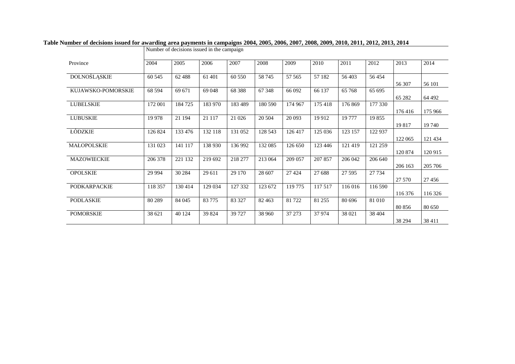|                     | Number of decisions issued in the campaign |         |          |         |         |         |         |         |         |         |          |
|---------------------|--------------------------------------------|---------|----------|---------|---------|---------|---------|---------|---------|---------|----------|
| Province            | 2004                                       | 2005    | 2006     | 2007    | 2008    | 2009    | 2010    | 2011    | 2012    | 2013    | 2014     |
| DOLNOŚLĄSKIE        | 60 545                                     | 62 4 88 | 61 401   | 60 550  | 58 745  | 57 565  | 57 182  | 56403   | 56454   | 56 307  | 56 101   |
| KUJAWSKO-POMORSKIE  | 68 5 94                                    | 69 671  | 69 048   | 68 3 88 | 67 348  | 66 092  | 66 137  | 65 768  | 65 695  | 65 282  | 64 4 92  |
| <b>LUBELSKIE</b>    | 172 001                                    | 184 725 | 183 970  | 183 489 | 180 590 | 174 967 | 175 418 | 176 869 | 177 330 | 176416  | 175 966  |
| <b>LUBUSKIE</b>     | 19 9 78                                    | 21 194  | 21 117   | 21 0 26 | 20 504  | 20 093  | 19912   | 19777   | 19855   | 19817   | 19 740   |
| <b>ŁÓDZKIE</b>      | 126 824                                    | 133 476 | 132 118  | 131 052 | 128 543 | 126 417 | 125 036 | 123 157 | 122 937 | 122 065 | 121 434  |
| MAŁOPOLSKIE         | 131 023                                    | 141 117 | 138 930  | 136 992 | 132 085 | 126 650 | 123 446 | 121 419 | 121 259 | 120 874 | 120 915  |
| MAZOWIECKIE         | 206 378                                    | 221 132 | 219 692  | 218 277 | 213 064 | 209 057 | 207 857 | 206 042 | 206 640 | 206 163 | 205 706  |
| <b>OPOLSKIE</b>     | 29 9 94                                    | 30 284  | 29 611   | 29 170  | 28 607  | 27 4 24 | 27 688  | 27 5 95 | 27 7 34 | 27 570  | 27 4 5 6 |
| <b>PODKARPACKIE</b> | 118 357                                    | 130 414 | 129 034  | 127 332 | 123 672 | 119 775 | 117 517 | 116 016 | 116 590 | 116 376 | 116 326  |
| <b>PODLASKIE</b>    | 80 289                                     | 84 045  | 83 7 7 5 | 83 327  | 82 4 63 | 81722   | 81 255  | 80 696  | 81 010  | 80 856  | 80 650   |
| <b>POMORSKIE</b>    | 38 621                                     | 40 1 24 | 39 824   | 39 7 27 | 38 960  | 37 273  | 37 974  | 38 021  | 38 404  | 38 294  | 38 411   |

**Table Number of decisions issued for awarding area payments in campaigns 2004, 2005, 2006, 2007, 2008, 2009, 2010, 2011, 2012, 2013, 2014**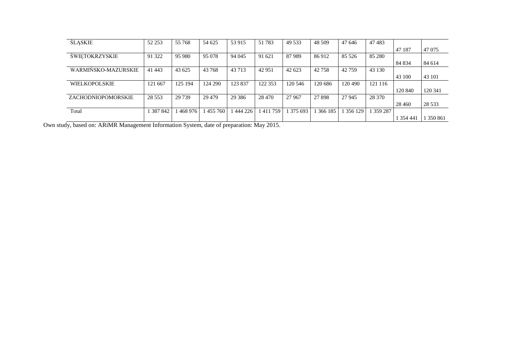| <b>SLASKIE</b>            | 52 253   | 55 768  | 54 625  | 53 915   | 51 783  | 49 5 33 | 48 509  | 47 646  | 47483     |           |           |
|---------------------------|----------|---------|---------|----------|---------|---------|---------|---------|-----------|-----------|-----------|
|                           |          |         |         |          |         |         |         |         |           | 47 187    | 47 075    |
| <b>SWIETOKRZYSKIE</b>     | 91 322   | 95 980  | 95 078  | 94 045   | 91 621  | 87989   | 86912   | 85 5 26 | 85 280    |           |           |
|                           |          |         |         |          |         |         |         |         |           | 84 834    | 84 614    |
| WARMINSKO-MAZURSKIE       | 41 4 43  | 43 625  | 43 768  | 43 7 13  | 42 951  | 42 623  | 42 758  | 42 7 59 | 43 130    |           |           |
|                           |          |         |         |          |         |         |         |         |           | 43 100    | 43 101    |
| <b>WIELKOPOLSKIE</b>      | 121 667  | 125 194 | 124 290 | 123 837  | 122 353 | 120 546 | 120 686 | 120 490 | 121 116   |           |           |
|                           |          |         |         |          |         |         |         |         |           | 120 840   | 120 341   |
| <b>ZACHODNIOPOMORSKIE</b> | 28 5 5 3 | 29 739  | 29 4 79 | 29 3 8 6 | 28 470  | 27 967  | 27 898  | 27 945  | 28 370    |           |           |
|                           |          |         |         |          |         |         |         |         |           | 28 4 6 0  | 28 5 33   |
| Total                     | 387842   | 468 976 | 455 760 | 444 226  | 411759  | 375 693 | 366 185 | 356 129 | 1 359 287 |           |           |
|                           |          |         |         |          |         |         |         |         |           | 1 354 441 | 1 350 861 |

Own study, based on: ARiMR Management Information System, date of preparation: May 2015.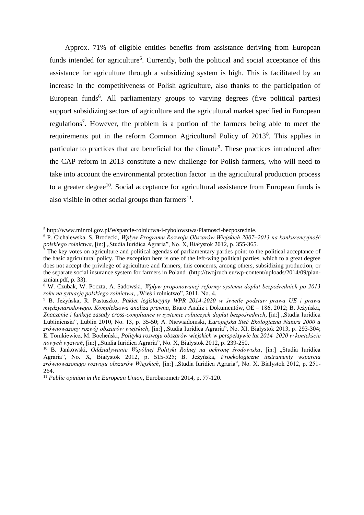Approx. 71% of eligible entities benefits from assistance deriving from European funds intended for agriculture<sup>5</sup>. Currently, both the political and social acceptance of this assistance for agriculture through a subsidizing system is high. This is facilitated by an increase in the competitiveness of Polish agriculture, also thanks to the participation of European funds<sup>6</sup>. All parliamentary groups to varying degrees (five political parties) support subsidizing sectors of agriculture and the agricultural market specified in European regulations<sup>7</sup>. However, the problem is a portion of the farmers being able to meet the requirements put in the reform Common Agricultural Policy of 2013<sup>8</sup>. This applies in particular to practices that are beneficial for the climate<sup>9</sup>. These practices introduced after the CAP reform in 2013 constitute a new challenge for Polish farmers, who will need to take into account the environmental protection factor in the agricultural production process to a greater degree<sup>10</sup>. Social acceptance for agricultural assistance from European funds is also visible in other social groups than farmers $^{11}$ .

<sup>5</sup> http://www.minrol.gov.pl/Wsparcie-rolnictwa-i-rybolowstwa/Platnosci-bezposrednie.

<sup>6</sup> P. Cichalewska, S, Brodecki, *Wpływ Programu Rozwoju Obszarów Wiejskich 2007–2013 na konkurencyjność*  polskiego rolnictwa, [in:] "Studia Iuridica Agraria", No. X, Białystok 2012, p. 355-365.

 $<sup>7</sup>$  The key votes on agriculture and political agendas of parliamentary parties point to the political acceptance of</sup> the basic agricultural policy. The exception here is one of the left-wing political parties, which to a great degree does not accept the privilege of agriculture and farmers; this concerns, among others, subsidizing production, or the separate social insurance system for farmers in Poland (http://twojruch.eu/wp-content/uploads/2014/09/planzmian.pdf, p. 33).

<sup>8</sup> W. Czubak, W. Poczta, A. Sadowski, *Wpływ proponowanej reformy systemu dopłat bezpośrednich po 2013 roku na sytuację polskiego rolnictwa*, "Wieś i rolnictwo", 2011, No. 4.

<sup>9</sup> B. Jeżyńska, R. Pastuszko, *Pakiet legislacyjny WPR 2014-2020 w świetle podstaw prawa UE i prawa międzynarodowego. Kompleksowa analiza prawna*, Biuro Analiz i Dokumentów, OE – 186, 2012; B. Jeżyńska, *Znaczenie i funkcje zasady cross-compliance w systemie rolniczych dopłat bezpośrednich*, [in:] "Studia Iuridica Lubliniensia", Lublin 2010, No. 13, p. 35-50; A. Niewiadomski, *Europejska Sieć Ekologiczna Natura 2000 a*  zrównoważony rozwój obszarów wiejskich, [in:] "Studia Iuridica Agraria", No. XI, Białystok 2013, p. 293-304; E. Tomkiewicz, M. Bocheński, *Polityka rozwoju obszarów wiejskich w perspektywie lat 2014–2020 w kontekście nowych wyzwań*, [in:] "Studia Iuridica Agraria", No. X, Białystok 2012, p. 239-250.

<sup>&</sup>lt;sup>10</sup> B. Jankowski, *Oddziaływanie Wspólnej Polityki Rolnej na ochronę środowiska*, [in:] "Studia Iuridica Agraria", No. X, Białystok 2012, p. 515-525; B. Jeżyńska, *Proekologiczne instrumenty wsparcia zrównoważonego rozwoju obszarów Wiejskich*, [in:] "Studia Iuridica Agraria", No. X, Białystok 2012, p. 251- 264.

<sup>11</sup> *Public opinion in the European Union*, Eurobarometr 2014, p. 77-120.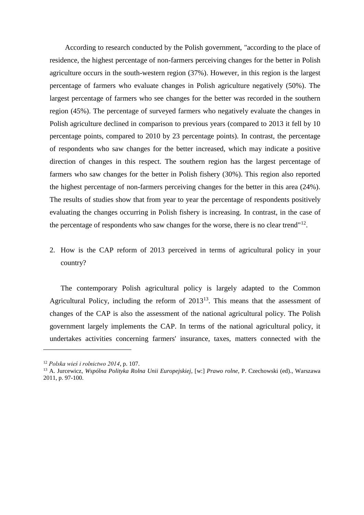According to research conducted by the Polish government, "according to the place of residence, the highest percentage of non-farmers perceiving changes for the better in Polish agriculture occurs in the south-western region (37%). However, in this region is the largest percentage of farmers who evaluate changes in Polish agriculture negatively (50%). The largest percentage of farmers who see changes for the better was recorded in the southern region (45%). The percentage of surveyed farmers who negatively evaluate the changes in Polish agriculture declined in comparison to previous years (compared to 2013 it fell by 10 percentage points, compared to 2010 by 23 percentage points). In contrast, the percentage of respondents who saw changes for the better increased, which may indicate a positive direction of changes in this respect. The southern region has the largest percentage of farmers who saw changes for the better in Polish fishery (30%). This region also reported the highest percentage of non-farmers perceiving changes for the better in this area (24%). The results of studies show that from year to year the percentage of respondents positively evaluating the changes occurring in Polish fishery is increasing. In contrast, in the case of the percentage of respondents who saw changes for the worse, there is no clear trend" $12$ .

2. How is the CAP reform of 2013 perceived in terms of agricultural policy in your country?

The contemporary Polish agricultural policy is largely adapted to the Common Agricultural Policy, including the reform of  $2013^{13}$ . This means that the assessment of changes of the CAP is also the assessment of the national agricultural policy. The Polish government largely implements the CAP. In terms of the national agricultural policy, it undertakes activities concerning farmers' insurance, taxes, matters connected with the

<sup>12</sup> *Polska wieś i rolnictwo 2014*, p. 107.

<sup>13</sup> A. Jurcewicz, *Wspólna Polityka Rolna Unii Europejskiej*, [w:] *Prawo rolne*, P. Czechowski (ed)., Warszawa 2011, p. 97-100.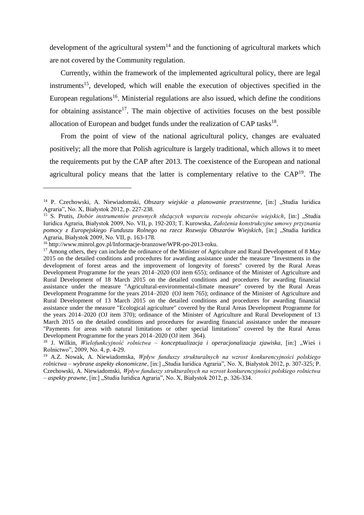development of the agricultural system<sup>14</sup> and the functioning of agricultural markets which are not covered by the Community regulation.

Currently, within the framework of the implemented agricultural policy, there are legal instruments<sup>15</sup>, developed, which will enable the execution of objectives specified in the European regulations<sup>16</sup>. Ministerial regulations are also issued, which define the conditions for obtaining assistance<sup>17</sup>. The main objective of activities focuses on the best possible allocation of European and budget funds under the realization of CAP tasks<sup>18</sup>.

From the point of view of the national agricultural policy, changes are evaluated positively; all the more that Polish agriculture is largely traditional, which allows it to meet the requirements put by the CAP after 2013. The coexistence of the European and national agricultural policy means that the latter is complementary relative to the  $CAP<sup>19</sup>$ . The

<sup>&</sup>lt;sup>14</sup> P. Czechowski, A. Niewiadomski, Obszary wiejskie a planowanie przestrzenne, [in:] "Studia Iuridica Agraria", No. X, Białystok 2012, p. 227-238.

<sup>&</sup>lt;sup>15</sup> S. Prutis, *Dobór instrumentów prawnych służących wsparciu rozwoju obszarów wiejskich*, [in:] "Studia Iuridica Agraria, Białystok 2009, No. VII, p. 192-203; T. Kurowska, *Założenia konstrukcyjne umowy przyznania pomocy z Europejskiego Funduszu Rolnego na rzecz Rozwoju Obszarów Wiejskich*, [in:] "Studia Iuridica Agraria, Białystok 2009, No. VII, p. 163-178.

<sup>16</sup> http://www.minrol.gov.pl/Informacje-branzowe/WPR-po-2013-roku.

<sup>&</sup>lt;sup>17</sup> Among others, they can include the ordinance of the Minister of Agriculture and Rural Development of 8 May 2015 on the detailed conditions and procedures for awarding assistance under the measure "Investments in the development of forest areas and the improvement of longevity of forests" covered by the Rural Areas Development Programme for the years 2014–2020 (OJ item 655); ordinance of the Minister of Agriculture and Rural Development of 18 March 2015 on the detailed conditions and procedures for awarding financial assistance under the measure "Agricultural-environmental-climate measure" covered by the Rural Areas Development Programme for the years 2014–2020 (OJ item 765); ordinance of the Minister of Agriculture and Rural Development of 13 March 2015 on the detailed conditions and procedures for awarding financial assistance under the measure "Ecological agriculture" covered by the Rural Areas Development Programme for the years 2014–2020 (OJ item 370); ordinance of the Minister of Agriculture and Rural Development of 13 March 2015 on the detailed conditions and procedures for awarding financial assistance under the measure "Payments for areas with natural limitations or other special limitations" covered by the Rural Areas Development Programme for the years 2014–2020 (OJ item 364).

<sup>&</sup>lt;sup>18</sup> J. Wilkin, *Wielofunkcyjność rolnictwa – konceptualizacja i operacjonalizacja zjawiska*, [in:] "Wieś i Rolnictwo", 2009, No. 4, p. 4-29.

<sup>19</sup> A.Z. Nowak, A. Niewiadomska, *Wpływ funduszy strukturalnych na wzrost konkurencyjności polskiego rolnictwa – wybrane aspekty ekonomiczne*, [in:] "Studia Iuridica Agraria", No. X, Białystok 2012, p. 307-325; P. Czechowski, A. Niewiadomski, *Wpływ funduszy strukturalnych na wzrost konkurencyjności polskiego rolnictwa – aspekty prawne*, [in:] "Studia Iuridica Agraria", No. X, Białystok 2012, p. 326-334.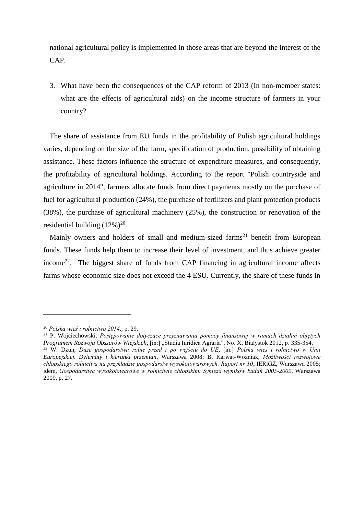national agricultural policy is implemented in those areas that are beyond the interest of the CAP.

3. What have been the consequences of the CAP reform of 2013 (In non-member states: what are the effects of agricultural aids) on the income structure of farmers in your country?

The share of assistance from EU funds in the profitability of Polish agricultural holdings varies, depending on the size of the farm, specification of production, possibility of obtaining assistance. These factors influence the structure of expenditure measures, and consequently, the profitability of agricultural holdings. According to the report "Polish countryside and agriculture in 2014", farmers allocate funds from direct payments mostly on the purchase of fuel for agricultural production (24%), the purchase of fertilizers and plant protection products (38%), the purchase of agricultural machinery (25%), the construction or renovation of the residential building  $(12\%)^{20}$ .

Mainly owners and holders of small and medium-sized farms<sup>21</sup> benefit from European funds. These funds help them to increase their level of investment, and thus achieve greater income<sup>22</sup>. The biggest share of funds from CAP financing in agricultural income affects farms whose economic size does not exceed the 4 ESU. Currently, the share of these funds in

<sup>20</sup> *Polska wieś i rolnictwo 2014*., p. 29.

<sup>21</sup> P. Wojciechowski, *Postępowanie dotyczące przyznawania pomocy finansowej w ramach działań objętych Programem Rozwoju Obszarów Wiejskich*, [in:] "Studia Iuridica Agraria", No. X, Białystok 2012, p. 335-354. <sup>22</sup> W. Dzun, *Duże gospodarstwa rolne przed i po wejściu do UE*, [in:] *Polska wieś i rolnictwo w Unii Europejskiej. Dylematy i kierunki przemian*, Warszawa 2008; B. Karwat-Woźniak, *Możliwości rozwojowe chłopskiego rolnictwa na przykładzie gospodarstw wysokotowarowych. Raport nr 10*, IERiGŻ, Warszawa 2005; idem, *Gospodarstwa wysokotowarowe w rolnictwie chłopskim. Synteza wyników badań 2005-2009*, Warszawa 2009, p. 27.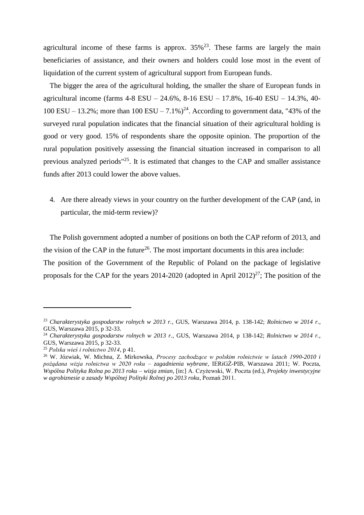agricultural income of these farms is approx.  $35\%^{23}$ . These farms are largely the main beneficiaries of assistance, and their owners and holders could lose most in the event of liquidation of the current system of agricultural support from European funds.

The bigger the area of the agricultural holding, the smaller the share of European funds in agricultural income (farms 4-8 ESU – 24.6%, 8-16 ESU – 17.8%, 16-40 ESU – 14.3%, 40- 100 ESU – 13.2%; more than 100 ESU – 7.1%)<sup>24</sup>. According to government data, "43% of the surveyed rural population indicates that the financial situation of their agricultural holding is good or very good. 15% of respondents share the opposite opinion. The proportion of the rural population positively assessing the financial situation increased in comparison to all previous analyzed periods<sup>"25</sup>. It is estimated that changes to the CAP and smaller assistance funds after 2013 could lower the above values.

4. Are there already views in your country on the further development of the CAP (and, in particular, the mid-term review)?

The Polish government adopted a number of positions on both the CAP reform of 2013, and the vision of the CAP in the future<sup>26</sup>. The most important documents in this area include: The position of the Government of the Republic of Poland on the package of legislative proposals for the CAP for the years 2014-2020 (adopted in April 2012)<sup>27</sup>; The position of the

<sup>23</sup> *Charakterystyka gospodarstw rolnych w 2013 r.*, GUS, Warszawa 2014, p. 138-142; *Rolnictwo w 2014 r.*, GUS, Warszawa 2015, p 32-33.

<sup>24</sup> *Charakterystyka gospodarstw rolnych w 2013 r.*, GUS, Warszawa 2014, p 138-142; *Rolnictwo w 2014 r.*, GUS, Warszawa 2015, p 32-33.

<sup>25</sup> *Polska wieś i rolnictwo 2014*, p 41.

<sup>26</sup> W. Józwiak, W. Michna, Z. Mirkowska, *Procesy zachodzące w polskim rolnictwie w latach 1990-2010 i pożądana wizja rolnictwa w 2020 roku – zagadnienia wybrane*, IERiGŻ-PIB, Warszawa 2011; W. Poczta, *Wspólna Polityka Rolna po 2013 roku – wizja zmian*, [in:] A. Czyżewski, W. Poczta (ed.), *Projekty inwestycyjne w agrobiznesie a zasady Wspólnej Polityki Rolnej po 2013 roku*, Poznań 2011.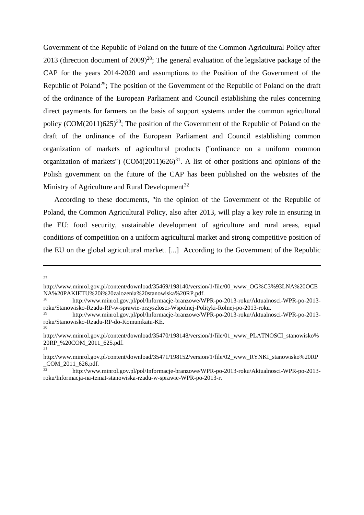Government of the Republic of Poland on the future of the Common Agricultural Policy after 2013 (direction document of  $2009)^{28}$ ; The general evaluation of the legislative package of the CAP for the years 2014-2020 and assumptions to the Position of the Government of the Republic of Poland<sup>29</sup>; The position of the Government of the Republic of Poland on the draft of the ordinance of the European Parliament and Council establishing the rules concerning direct payments for farmers on the basis of support systems under the common agricultural policy  $(COM(2011)625)^{30}$ ; The position of the Government of the Republic of Poland on the draft of the ordinance of the European Parliament and Council establishing common organization of markets of agricultural products ("ordinance on a uniform common organization of markets")  $(COM(2011)626)^{31}$ . A list of other positions and opinions of the Polish government on the future of the CAP has been published on the websites of the Ministry of Agriculture and Rural Development<sup>32</sup>

According to these documents, "in the opinion of the Government of the Republic of Poland, the Common Agricultural Policy, also after 2013, will play a key role in ensuring in the EU: food security, sustainable development of agriculture and rural areas, equal conditions of competition on a uniform agricultural market and strong competitive position of the EU on the global agricultural market. [...] According to the Government of the Republic

27

http://www.minrol.gov.pl/content/download/35469/198140/version/1/file/00\_www\_OG%C3%93LNA%20OCE NA%20PAKIETU%20i%20zalozenia%20stanowiska%20RP.pdf.

<sup>28</sup> http://www.minrol.gov.pl/pol/Informacje-branzowe/WPR-po-2013-roku/Aktualnosci-WPR-po-2013 roku/Stanowisko-Rzadu-RP-w-sprawie-przyszlosci-Wspolnej-Polityki-Rolnej-po-2013-roku.

<sup>29</sup> http://www.minrol.gov.pl/pol/Informacje-branzowe/WPR-po-2013-roku/Aktualnosci-WPR-po-2013 roku/Stanowisko-Rzadu-RP-do-Komunikatu-KE. 30

http://www.minrol.gov.pl/content/download/35470/198148/version/1/file/01\_www\_PLATNOSCI\_stanowisko% 20RP\_%20COM\_2011\_625.pdf. 31

http://www.minrol.gov.pl/content/download/35471/198152/version/1/file/02\_www\_RYNKI\_stanowisko%20RP \_COM\_2011\_626.pdf.

<sup>32</sup> http://www.minrol.gov.pl/pol/Informacje-branzowe/WPR-po-2013-roku/Aktualnosci-WPR-po-2013 roku/Informacja-na-temat-stanowiska-rzadu-w-sprawie-WPR-po-2013-r.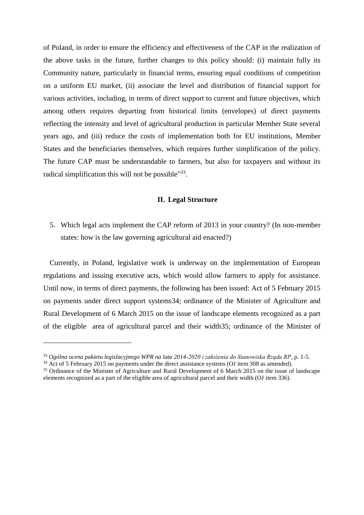of Poland, in order to ensure the efficiency and effectiveness of the CAP in the realization of the above tasks in the future, further changes to this policy should: (i) maintain fully its Community nature, particularly in financial terms, ensuring equal conditions of competition on a uniform EU market, (ii) associate the level and distribution of financial support for various activities, including, in terms of direct support to current and future objectives, which among others requires departing from historical limits (envelopes) of direct payments reflecting the intensity and level of agricultural production in particular Member State several years ago, and (iii) reduce the costs of implementation both for EU institutions, Member States and the beneficiaries themselves, which requires further simplification of the policy. The future CAP must be understandable to farmers, but also for taxpayers and without its radical simplification this will not be possible"<sup>33</sup>.

#### **II. Legal Structure**

5. Which legal acts implement the CAP reform of 2013 in your country? (In non-member states: how is the law governing agricultural aid enacted?)

Currently, in Poland, legislative work is underway on the implementation of European regulations and issuing executive acts, which would allow farmers to apply for assistance. Until now, in terms of direct payments, the following has been issued: Act of 5 February 2015 on payments under direct support systems34; ordinance of the Minister of Agriculture and Rural Development of 6 March 2015 on the issue of landscape elements recognized as a part of the eligible area of agricultural parcel and their width35; ordinance of the Minister of

<sup>33</sup> *Ogólna ocena pakietu legislacyjnego WPR na lata 2014-2020 i założenia do Stanowiska Rządu RP*, p. 1-5.

<sup>&</sup>lt;sup>34</sup> Act of 5 February 2015 on payments under the direct assistance systems (OJ [item 308 as amended\).](http://dokumenty.rcl.gov.pl/D2015000030801.pdf)

<sup>&</sup>lt;sup>35</sup> Ordinance of the Minister of Agriculture and Rural Development of 6 March 2015 on the issue of landscape elements recognized as a part of the eligible area of agricultural parcel and their width (OJ item 336).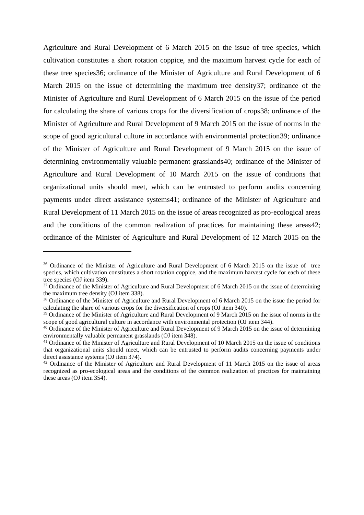Agriculture and Rural Development of 6 March 2015 on the issue of tree species, which cultivation constitutes a short rotation coppice, and the maximum harvest cycle for each of these tree species36; ordinance of the Minister of Agriculture and Rural Development of 6 March 2015 on the issue of determining the maximum tree density37; ordinance of the Minister of Agriculture and Rural Development of 6 March 2015 on the issue of the period for calculating the share of various crops for the diversification of crops38; ordinance of the Minister of Agriculture and Rural Development of 9 March 2015 on the issue of norms in the scope of good agricultural culture in accordance with environmental protection39; ordinance of the Minister of Agriculture and Rural Development of 9 March 2015 on the issue of determining environmentally valuable permanent grasslands40; ordinance of the Minister of Agriculture and Rural Development of 10 March 2015 on the issue of conditions that organizational units should meet, which can be entrusted to perform audits concerning payments under direct assistance systems41; ordinance of the Minister of Agriculture and Rural Development of 11 March 2015 on the issue of areas recognized as pro-ecological areas and the conditions of the common realization of practices for maintaining these areas42; ordinance of the Minister of Agriculture and Rural Development of 12 March 2015 on the

<sup>&</sup>lt;sup>36</sup> Ordinance of the Minister of Agriculture and Rural Development of 6 March 2015 on the issue of tree species, which cultivation constitutes a short rotation coppice, and the maximum harvest cycle for each of these tree species (OJ item 339).

<sup>&</sup>lt;sup>37</sup> Ordinance of the Minister of Agriculture and Rural Development of 6 March 2015 on the issue of determining the maximum tree density (OJ item 338).

<sup>38</sup> Ordinance of the Minister of Agriculture and Rural Development of 6 March 2015 on the issue the period for calculating the share of various crops for the diversification of crops (OJ item 340).

<sup>39</sup> Ordinance of the Minister of Agriculture and Rural Development of 9 March 2015 on the issue of norms in the scope of good agricultural culture in accordance with environmental protection (OJ item 344).

<sup>40</sup> Ordinance of the Minister of Agriculture and Rural Development of 9 March 2015 on the issue of determining environmentally valuable permanent grasslands (OJ item 348).

<sup>&</sup>lt;sup>41</sup> Ordinance of the Minister of Agriculture and Rural Development of 10 March 2015 on the issue of conditions that organizational units should meet, which can be entrusted to perform audits concerning payments under direct assistance systems (OJ item 374).

<sup>42</sup> Ordinance of the Minister of Agriculture and Rural Development of 11 March 2015 on the issue of areas recognized as pro-ecological areas and the conditions of the common realization of practices for maintaining these areas (OJ item 354).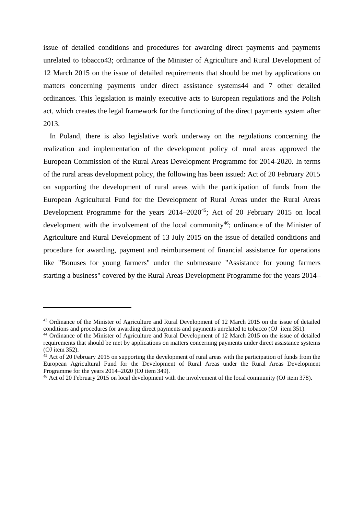issue of detailed conditions and procedures for awarding direct payments and payments unrelated to tobacco43; ordinance of the Minister of Agriculture and Rural Development of 12 March 2015 on the issue of detailed requirements that should be met by applications on matters concerning payments under direct assistance systems44 and 7 other detailed ordinances. This legislation is mainly executive acts to European regulations and the Polish act, which creates the legal framework for the functioning of the direct payments system after 2013.

In Poland, there is also legislative work underway on the regulations concerning the realization and implementation of the development policy of rural areas approved the European Commission of the Rural Areas Development Programme for 2014-2020. In terms of the rural areas development policy, the following has been issued: Act of 20 February 2015 on supporting the development of rural areas with the participation of funds from the European Agricultural Fund for the Development of Rural Areas under the Rural Areas Development Programme for the years 2014–2020<sup>45</sup>; Act of 20 February 2015 on local development with the involvement of the local community<sup>46</sup>; ordinance of the Minister of Agriculture and Rural Development of 13 July 2015 on the issue of detailed conditions and procedure for awarding, payment and reimbursement of financial assistance for operations like "Bonuses for young farmers" under the submeasure "Assistance for young farmers starting a business" covered by the Rural Areas Development Programme for the years 2014–

<sup>43</sup> Ordinance of the Minister of Agriculture and Rural Development of 12 March 2015 on the issue of detailed conditions and procedures for awarding direct payments and payments unrelated to tobacco (OJ item 351).

<sup>44</sup> Ordinance of the Minister of Agriculture and Rural Development of 12 March 2015 on the issue of detailed requirements that should be met by applications on matters concerning payments under direct assistance systems (OJ item 352).

<sup>&</sup>lt;sup>45</sup> Act of 20 February 2015 on supporting the development of rural areas with the participation of funds from the European Agricultural Fund for the Development of Rural Areas under the Rural Areas Development Programme for the years 2014–2020 (OJ item 349).

<sup>&</sup>lt;sup>46</sup> Act of 20 February 2015 on local development with the involvement of the local community (OJ item 378).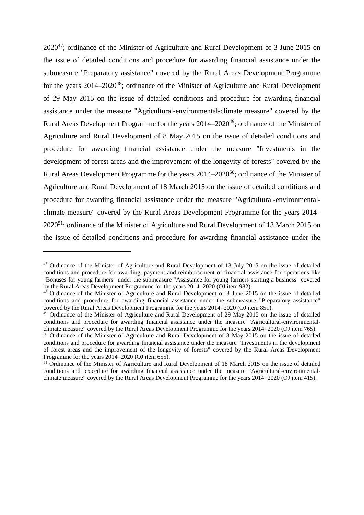2020<sup>47</sup>; ordinance of the Minister of Agriculture and Rural Development of 3 June 2015 on the issue of detailed conditions and procedure for awarding financial assistance under the submeasure "Preparatory assistance" covered by the Rural Areas Development Programme for the years 2014–2020<sup>48</sup>; ordinance of the Minister of Agriculture and Rural Development of 29 May 2015 on the issue of detailed conditions and procedure for awarding financial assistance under the measure "Agricultural-environmental-climate measure" covered by the Rural Areas Development Programme for the years  $2014-2020^{49}$ ; ordinance of the Minister of Agriculture and Rural Development of 8 May 2015 on the issue of detailed conditions and procedure for awarding financial assistance under the measure "Investments in the development of forest areas and the improvement of the longevity of forests" covered by the Rural Areas Development Programme for the years  $2014-2020^{50}$ ; ordinance of the Minister of Agriculture and Rural Development of 18 March 2015 on the issue of detailed conditions and procedure for awarding financial assistance under the measure "Agricultural-environmentalclimate measure" covered by the Rural Areas Development Programme for the years 2014– 2020<sup>51</sup>; ordinance of the Minister of Agriculture and Rural Development of 13 March 2015 on the issue of detailed conditions and procedure for awarding financial assistance under the

<sup>&</sup>lt;sup>47</sup> Ordinance of the Minister of Agriculture and Rural Development of 13 July 2015 on the issue of detailed conditions and procedure for awarding, payment and reimbursement of financial assistance for operations like "Bonuses for young farmers" under the submeasure "Assistance for young farmers starting a business" covered by the Rural Areas Development Programme for the years 2014–2020 (OJ item 982).

<sup>&</sup>lt;sup>48</sup> Ordinance of the Minister of Agriculture and Rural Development of 3 June 2015 on the issue of detailed conditions and procedure for awarding financial assistance under the submeasure "Preparatory assistance" covered by the Rural Areas Development Programme for the years 2014–2020 (OJ item 851).

<sup>&</sup>lt;sup>49</sup> Ordinance of the Minister of Agriculture and Rural Development of 29 May 2015 on the issue of detailed conditions and procedure for awarding financial assistance under the measure "Agricultural-environmentalclimate measure" covered by the Rural Areas Development Programme for the years 2014–2020 (OJ item 765).

<sup>50</sup> Ordinance of the Minister of Agriculture and Rural Development of 8 May 2015 on the issue of detailed conditions and procedure for awarding financial assistance under the measure "Investments in the development of forest areas and the improvement of the longevity of forests" covered by the Rural Areas Development Programme for the years 2014–2020 (OJ item 655).

<sup>51</sup> Ordinance of the Minister of Agriculture and Rural Development of 18 March 2015 on the issue of detailed conditions and procedure for awarding financial assistance under the measure "Agricultural-environmentalclimate measure" covered by the Rural Areas Development Programme for the years 2014–2020 (OJ item 415).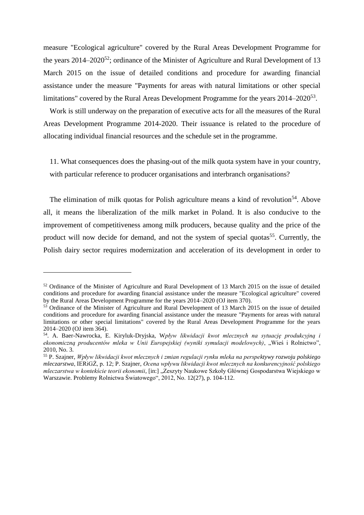measure "Ecological agriculture" covered by the Rural Areas Development Programme for the years  $2014-2020^{52}$ ; ordinance of the Minister of Agriculture and Rural Development of 13 March 2015 on the issue of detailed conditions and procedure for awarding financial assistance under the measure "Payments for areas with natural limitations or other special limitations" covered by the Rural Areas Development Programme for the years 2014–2020<sup>53</sup>.

Work is still underway on the preparation of executive acts for all the measures of the Rural Areas Development Programme 2014-2020. Their issuance is related to the procedure of allocating individual financial resources and the schedule set in the programme.

11. What consequences does the phasing-out of the milk quota system have in your country, with particular reference to producer organisations and interbranch organisations?

The elimination of milk quotas for Polish agriculture means a kind of revolution<sup>54</sup>. Above all, it means the liberalization of the milk market in Poland. It is also conducive to the improvement of competitiveness among milk producers, because quality and the price of the product will now decide for demand, and not the system of special quotas<sup>55</sup>. Currently, the Polish dairy sector requires modernization and acceleration of its development in order to

<sup>52</sup> Ordinance of the Minister of Agriculture and Rural Development of 13 March 2015 on the issue of detailed conditions and procedure for awarding financial assistance under the measure "Ecological agriculture" covered by the Rural Areas Development Programme for the years 2014–2020 (OJ item 370).

<sup>&</sup>lt;sup>53</sup> Ordinance of the Minister of Agriculture and Rural Development of 13 March 2015 on the issue of detailed conditions and procedure for awarding financial assistance under the measure "Payments for areas with natural limitations or other special limitations" covered by the Rural Areas Development Programme for the years 2014–2020 (OJ item 364).

<sup>54</sup> . A. Baer-Nawrocka, E. Kiryluk-Dryjska, W*pływ likwidacji kwot mlecznych na sytuację produkcyjną i ekonomiczną producentów mleka w Unii Europejskiej (wyniki symulacji modelowych)*, "Wieś i Rolnictwo", 2010, No. 3.

<sup>55</sup> P. Szajner, *Wpływ likwidacji kwot mlecznych i zmian regulacji rynku mleka na perspektywy rozwoju polskiego mleczarstwa*, IERiGŻ, p. 12; P. Szajner, *Ocena wpływu likwidacji kwot mlecznych na konkurencyjność polskiego mleczarstwa w kontekście teorii ekonomii*, [in:] "Zeszyty Naukowe Szkoły Głównej Gospodarstwa Wiejskiego w Warszawie. Problemy Rolnictwa Światowego", 2012, No. 12(27), p. 104-112.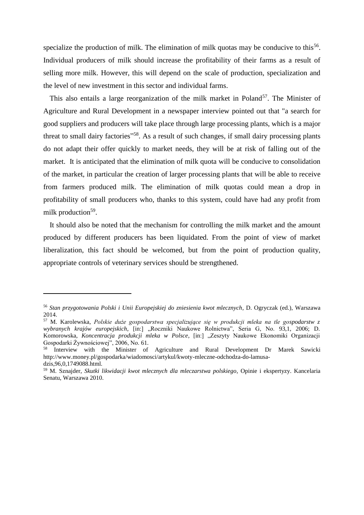specialize the production of milk. The elimination of milk quotas may be conducive to this<sup>56</sup>. Individual producers of milk should increase the profitability of their farms as a result of selling more milk. However, this will depend on the scale of production, specialization and the level of new investment in this sector and individual farms.

This also entails a large reorganization of the milk market in Poland<sup>57</sup>. The Minister of Agriculture and Rural Development in a newspaper interview pointed out that "a search for good suppliers and producers will take place through large processing plants, which is a major threat to small dairy factories"<sup>58</sup>. As a result of such changes, if small dairy processing plants do not adapt their offer quickly to market needs, they will be at risk of falling out of the market. It is anticipated that the elimination of milk quota will be conducive to consolidation of the market, in particular the creation of larger processing plants that will be able to receive from farmers produced milk. The elimination of milk quotas could mean a drop in profitability of small producers who, thanks to this system, could have had any profit from milk production<sup>59</sup>.

It should also be noted that the mechanism for controlling the milk market and the amount produced by different producers has been liquidated. From the point of view of market liberalization, this fact should be welcomed, but from the point of production quality, appropriate controls of veterinary services should be strengthened.

<sup>56</sup> *Stan przygotowania Polski i Unii Europejskiej do zniesienia kwot mlecznych*, D. Ogryczak (ed.), Warszawa 2014.

<sup>57</sup> M. Karolewska, *Polskie duże gospodarstwa specjalizujące się w produkcji mleka na tle gospodarstw z wybranych krajów europejskich*, [in:] "Roczniki Naukowe Rolnictwa", Seria G, No. 93,1, 2006; D. Komorowska, *Koncentracja produkcji mleka w Polsce*, [in:] "Zeszyty Naukowe Ekonomiki Organizacji Gospodarki Żywnościowej", 2006, No. 61.

<sup>58</sup> Interview with the Minister of Agriculture and Rural Development Dr Marek Sawicki http://www.money.pl/gospodarka/wiadomosci/artykul/kwoty-mleczne-odchodza-do-lamusadzis,96,0,1749088.html.

<sup>59</sup> M. Sznajder, *Skutki likwidacji kwot mlecznych dla mleczarstwa polskiego*, Opinie i ekspertyzy. Kancelaria Senatu, Warszawa 2010.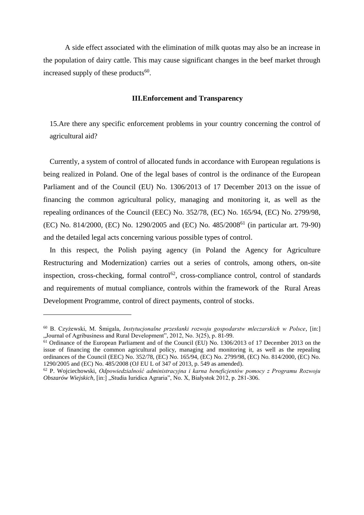A side effect associated with the elimination of milk quotas may also be an increase in the population of dairy cattle. This may cause significant changes in the beef market through increased supply of these products<sup>60</sup>.

## **III.Enforcement and Transparency**

15.Are there any specific enforcement problems in your country concerning the control of agricultural aid?

Currently, a system of control of allocated funds in accordance with European regulations is being realized in Poland. One of the legal bases of control is the ordinance of the European Parliament and of the Council (EU) No. 1306/2013 of 17 December 2013 on the issue of financing the common agricultural policy, managing and monitoring it, as well as the repealing ordinances of the Council (EEC) No. 352/78, (EC) No. 165/94, (EC) No. 2799/98, (EC) No. 814/2000, (EC) No. 1290/2005 and (EC) No. 485/2008<sup>61</sup> (in particular art. 79-90) and the detailed legal acts concerning various possible types of control.

In this respect, the Polish paying agency (in Poland the Agency for Agriculture Restructuring and Modernization) carries out a series of controls, among others, on-site inspection, cross-checking, formal control<sup>62</sup>, cross-compliance control, control of standards and requirements of mutual compliance, controls within the framework of the Rural Areas Development Programme, control of direct payments, control of stocks.

<sup>60</sup> B. Czyżewski, M. Śmigala, *Instytucjonalne przesłanki rozwoju gospodarstw mleczarskich w Polsce*, [in:] "Journal of Agribusiness and Rural Development", 2012, No. 3(25), p. 81-99.

<sup>&</sup>lt;sup>61</sup> Ordinance of the European Parliament and of the Council (EU) No. 1306/2013 of 17 December 2013 on the issue of financing the common agricultural policy, managing and monitoring it, as well as the repealing ordinances of the Council (EEC) No. 352/78, (EC) No. 165/94, (EC) No. 2799/98, (EC) No. 814/2000, (EC) No. 1290/2005 and (EC) No. 485/2008 (OJ EU L of 347 of 2013, p. 549 as amended).

<sup>62</sup> P. Wojciechowski, *Odpowiedzialność administracyjna i karna beneficjentów pomocy z Programu Rozwoju Obszarów Wiejskich*, [in:] "Studia Iuridica Agraria", No. X, Białystok 2012, p. 281-306.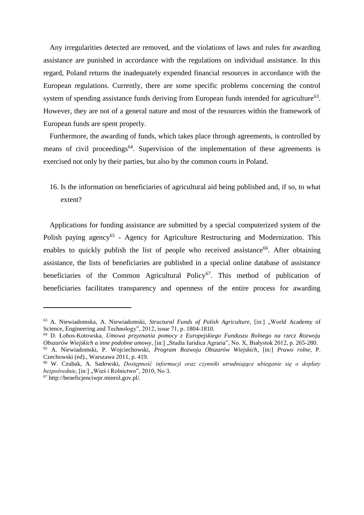Any irregularities detected are removed, and the violations of laws and rules for awarding assistance are punished in accordance with the regulations on individual assistance. In this regard, Poland returns the inadequately expended financial resources in accordance with the European regulations. Currently, there are some specific problems concerning the control system of spending assistance funds deriving from European funds intended for agriculture<sup>63</sup>. However, they are not of a general nature and most of the resources within the framework of European funds are spent properly.

Furthermore, the awarding of funds, which takes place through agreements, is controlled by means of civil proceedings<sup>64</sup>. Supervision of the implementation of these agreements is exercised not only by their parties, but also by the common courts in Poland.

16. Is the information on beneficiaries of agricultural aid being published and, if so, to what extent?

Applications for funding assistance are submitted by a special computerized system of the Polish paying agency<sup>65</sup> - Agency for Agriculture Restructuring and Modernization. This enables to quickly publish the list of people who received assistance<sup>66</sup>. After obtaining assistance, the lists of beneficiaries are published in a special online database of assistance beneficiaries of the Common Agricultural Policy<sup>67</sup>. This method of publication of beneficiaries facilitates transparency and openness of the entire process for awarding

<sup>&</sup>lt;sup>63</sup> A. Niewiadomska, A. Niewiadomski, *Structural Funds of Polish Agriculture*, [in:] "World Academy of Science, Engineering and Technology", 2012, issue 71, p. 1804-1810.

<sup>64</sup> D. Łobos-Kotowska, *Umowa przyznania pomocy z Europejskiego Funduszu Rolnego na rzecz Rozwoju Obszarów Wiejskich a inne podobne umowy*, [in:] "Studia Iuridica Agraria", No. X, Białystok 2012, p. 265-280. <sup>65</sup> A. Niewiadomski, P. Wojciechowski, *Program Rozwoju Obszarów Wiejskich*, [in:] *Prawo rolne*, P. Czechowski (ed)., Warszawa 2011, p. 419.

<sup>66</sup> W. Czubak, A. Sadowski, *Dostępność informacji oraz czynniki utrudniające ubieganie się o dopłaty bezpośrednie*, [in:] "Wieś i Rolnictwo", 2010, No 3.

<sup>67</sup> http://beneficjenciwpr.minrol.gov.pl/.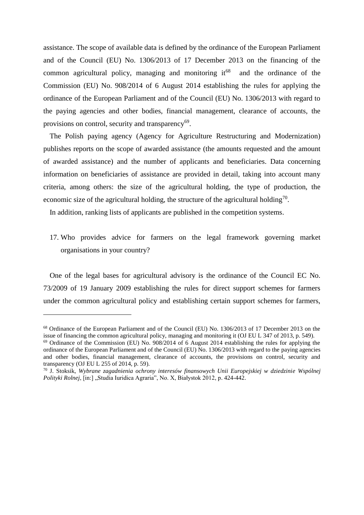assistance. The scope of available data is defined by the ordinance of the European Parliament and of the Council (EU) No. 1306/2013 of 17 December 2013 on the financing of the common agricultural policy, managing and monitoring  $it^{68}$  and the ordinance of the Commission (EU) No. 908/2014 of 6 August 2014 establishing the rules for applying the ordinance of the European Parliament and of the Council (EU) No. 1306/2013 with regard to the paying agencies and other bodies, financial management, clearance of accounts, the provisions on control, security and transparency<sup>69</sup>.

The Polish paying agency (Agency for Agriculture Restructuring and Modernization) publishes reports on the scope of awarded assistance (the amounts requested and the amount of awarded assistance) and the number of applicants and beneficiaries. Data concerning information on beneficiaries of assistance are provided in detail, taking into account many criteria, among others: the size of the agricultural holding, the type of production, the economic size of the agricultural holding, the structure of the agricultural holding<sup>70</sup>.

In addition, ranking lists of applicants are published in the competition systems.

17. Who provides advice for farmers on the legal framework governing market organisations in your country?

One of the legal bases for agricultural advisory is the ordinance of the Council EC No. 73/2009 of 19 January 2009 establishing the rules for direct support schemes for farmers under the common agricultural policy and establishing certain support schemes for farmers,

<sup>68</sup> Ordinance of the European Parliament and of the Council (EU) No. 1306/2013 of 17 December 2013 on the issue of financing the common agricultural policy, managing and monitoring it (OJ EU L 347 of 2013, p. 549).

<sup>&</sup>lt;sup>69</sup> Ordinance of the Commission (EU) No. 908/2014 of 6 August 2014 establishing the rules for applying the ordinance of the European Parliament and of the Council (EU) No. 1306/2013 with regard to the paying agencies and other bodies, financial management, clearance of accounts, the provisions on control, security and transparency (OJ EU L 255 of 2014, p. 59).

<sup>70</sup> J. Stoksik, *Wybrane zagadnienia ochrony interesów finansowych Unii Europejskiej w dziedzinie Wspólnej Polityki Rolnej*, [in:] "Studia Iuridica Agraria", No. X, Białystok 2012, p. 424-442.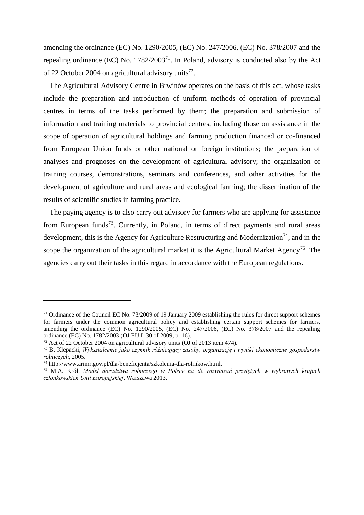amending the ordinance (EC) No. 1290/2005, (EC) No. 247/2006, (EC) No. 378/2007 and the repealing ordinance (EC) No.  $1782/2003^{71}$ . In Poland, advisory is conducted also by the Act of 22 October 2004 on agricultural advisory units<sup>72</sup>.

The Agricultural Advisory Centre in Brwinów operates on the basis of this act, whose tasks include the preparation and introduction of uniform methods of operation of provincial centres in terms of the tasks performed by them; the preparation and submission of information and training materials to provincial centres, including those on assistance in the scope of operation of agricultural holdings and farming production financed or co-financed from European Union funds or other national or foreign institutions; the preparation of analyses and prognoses on the development of agricultural advisory; the organization of training courses, demonstrations, seminars and conferences, and other activities for the development of agriculture and rural areas and ecological farming; the dissemination of the results of scientific studies in farming practice.

The paying agency is to also carry out advisory for farmers who are applying for assistance from European funds<sup>73</sup>. Currently, in Poland, in terms of direct payments and rural areas development, this is the Agency for Agriculture Restructuring and Modernization<sup>74</sup>, and in the scope the organization of the agricultural market it is the Agricultural Market Agency<sup>75</sup>. The agencies carry out their tasks in this regard in accordance with the European regulations.

<sup>&</sup>lt;sup>71</sup> Ordinance of the Council EC No. 73/2009 of 19 January 2009 establishing the rules for direct support schemes for farmers under the common agricultural policy and establishing certain support schemes for farmers, amending the ordinance (EC) No. 1290/2005, (EC) No. 247/2006, (EC) No. 378/2007 and the repealing ordinance (EC) No. 1782/2003 (OJ EU L 30 of 2009, p. 16).

<sup>72</sup> Act of 22 October 2004 on agricultural advisory units (OJ of 2013 item 474).

<sup>73</sup> B. Klepacki, *Wykształcenie jako czynnik różnicujący zasoby, organizację i wyniki ekonomiczne gospodarstw rolniczych*, 2005.

<sup>74</sup> http://www.arimr.gov.pl/dla-beneficjenta/szkolenia-dla-rolnikow.html.

<sup>75</sup> M.A. Król, *Model doradztwa rolniczego w Polsce na tle rozwiązań przyjętych w wybranych krajach członkowskich Unii Europejskiej*, Warszawa 2013.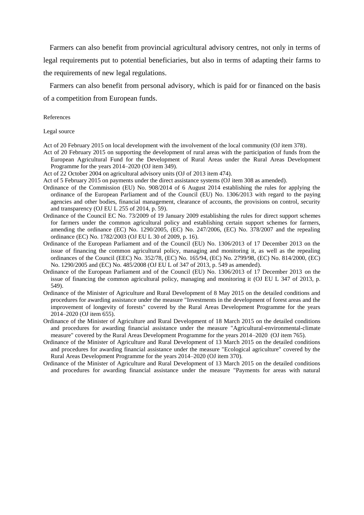Farmers can also benefit from provincial agricultural advisory centres, not only in terms of legal requirements put to potential beneficiaries, but also in terms of adapting their farms to the requirements of new legal regulations.

Farmers can also benefit from personal advisory, which is paid for or financed on the basis of a competition from European funds.

#### References

Legal source

Act of 20 February 2015 on local development with the involvement of the local community (OJ item 378).

Act of 20 February 2015 on supporting the development of rural areas with the participation of funds from the European Agricultural Fund for the Development of Rural Areas under the Rural Areas Development Programme for the years 2014–2020 (OJ item 349).

Act of 22 October 2004 on agricultural advisory units (OJ of 2013 item 474).

Act of 5 February 2015 on payments under the direct assistance systems (OJ [item 308 as amended\).](http://dokumenty.rcl.gov.pl/D2015000030801.pdf)

- Ordinance of the Commission (EU) No. 908/2014 of 6 August 2014 establishing the rules for applying the ordinance of the European Parliament and of the Council (EU) No. 1306/2013 with regard to the paying agencies and other bodies, financial management, clearance of accounts, the provisions on control, security and transparency (OJ EU L 255 of 2014, p. 59).
- Ordinance of the Council EC No. 73/2009 of 19 January 2009 establishing the rules for direct support schemes for farmers under the common agricultural policy and establishing certain support schemes for farmers, amending the ordinance (EC) No. 1290/2005, (EC) No. 247/2006, (EC) No. 378/2007 and the repealing ordinance (EC) No. 1782/2003 (OJ EU L 30 of 2009, p. 16).
- Ordinance of the European Parliament and of the Council (EU) No. 1306/2013 of 17 December 2013 on the issue of financing the common agricultural policy, managing and monitoring it, as well as the repealing ordinances of the Council (EEC) No. 352/78, (EC) No. 165/94, (EC) No. 2799/98, (EC) No. 814/2000, (EC) No. 1290/2005 and (EC) No. 485/2008 (OJ EU L of 347 of 2013, p. 549 as amended).
- Ordinance of the European Parliament and of the Council (EU) No. 1306/2013 of 17 December 2013 on the issue of financing the common agricultural policy, managing and monitoring it (OJ EU L 347 of 2013, p. 549).
- Ordinance of the Minister of Agriculture and Rural Development of 8 May 2015 on the detailed conditions and procedures for awarding assistance under the measure "Investments in the development of forest areas and the improvement of longevity of forests" covered by the Rural Areas Development Programme for the years 2014–2020 (OJ item 655).
- Ordinance of the Minister of Agriculture and Rural Development of 18 March 2015 on the detailed conditions and procedures for awarding financial assistance under the measure "Agricultural-environmental-climate measure" covered by the Rural Areas Development Programme for the years 2014–2020 (OJ item 765).
- Ordinance of the Minister of Agriculture and Rural Development of 13 March 2015 on the detailed conditions and procedures for awarding financial assistance under the measure "Ecological agriculture" covered by the Rural Areas Development Programme for the years 2014–2020 (OJ item 370).
- Ordinance of the Minister of Agriculture and Rural Development of 13 March 2015 on the detailed conditions and procedures for awarding financial assistance under the measure "Payments for areas with natural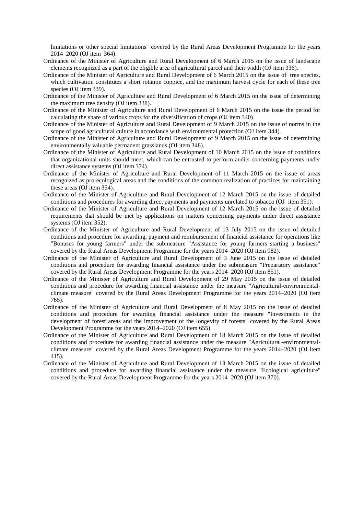limitations or other special limitations" covered by the Rural Areas Development Programme for the years 2014–2020 (OJ item 364).

- Ordinance of the Minister of Agriculture and Rural Development of 6 March 2015 on the issue of landscape elements recognized as a part of the eligible area of agricultural parcel and their width (OJ item 336).
- Ordinance of the Minister of Agriculture and Rural Development of 6 March 2015 on the issue of tree species, which cultivation constitutes a short rotation coppice, and the maximum harvest cycle for each of these tree species (OJ item 339).
- Ordinance of the Minister of Agriculture and Rural Development of 6 March 2015 on the issue of determining the maximum tree density (OJ item 338).
- Ordinance of the Minister of Agriculture and Rural Development of 6 March 2015 on the issue the period for calculating the share of various crops for the diversification of crops (OJ item 340).
- Ordinance of the Minister of Agriculture and Rural Development of 9 March 2015 on the issue of norms in the scope of good agricultural culture in accordance with environmental protection (OJ item 344).
- Ordinance of the Minister of Agriculture and Rural Development of 9 March 2015 on the issue of determining environmentally valuable permanent grasslands (OJ item 348).
- Ordinance of the Minister of Agriculture and Rural Development of 10 March 2015 on the issue of conditions that organizational units should meet, which can be entrusted to perform audits concerning payments under direct assistance systems (OJ item 374).
- Ordinance of the Minister of Agriculture and Rural Development of 11 March 2015 on the issue of areas recognized as pro-ecological areas and the conditions of the common realization of practices for maintaining these areas (OJ item 354).
- Ordinance of the Minister of Agriculture and Rural Development of 12 March 2015 on the issue of detailed conditions and procedures for awarding direct payments and payments unrelated to tobacco (OJ item 351).
- Ordinance of the Minister of Agriculture and Rural Development of 12 March 2015 on the issue of detailed requirements that should be met by applications on matters concerning payments under direct assistance systems (OJ item 352).
- Ordinance of the Minister of Agriculture and Rural Development of 13 July 2015 on the issue of detailed conditions and procedure for awarding, payment and reimbursement of financial assistance for operations like "Bonuses for young farmers" under the submeasure "Assistance for young farmers starting a business" covered by the Rural Areas Development Programme for the years 2014–2020 (OJ item 982).
- Ordinance of the Minister of Agriculture and Rural Development of 3 June 2015 on the issue of detailed conditions and procedure for awarding financial assistance under the submeasure "Preparatory assistance" covered by the Rural Areas Development Programme for the years 2014–2020 (OJ item 851).
- Ordinance of the Minister of Agriculture and Rural Development of 29 May 2015 on the issue of detailed conditions and procedure for awarding financial assistance under the measure "Agricultural-environmentalclimate measure" covered by the Rural Areas Development Programme for the years 2014–2020 (OJ item 765).
- Ordinance of the Minister of Agriculture and Rural Development of 8 May 2015 on the issue of detailed conditions and procedure for awarding financial assistance under the measure "Investments in the development of forest areas and the improvement of the longevity of forests" covered by the Rural Areas Development Programme for the years 2014–2020 (OJ item 655).
- Ordinance of the Minister of Agriculture and Rural Development of 18 March 2015 on the issue of detailed conditions and procedure for awarding financial assistance under the measure "Agricultural-environmentalclimate measure" covered by the Rural Areas Development Programme for the years 2014–2020 (OJ item 415).
- Ordinance of the Minister of Agriculture and Rural Development of 13 March 2015 on the issue of detailed conditions and procedure for awarding financial assistance under the measure "Ecological agriculture" covered by the Rural Areas Development Programme for the years 2014–2020 (OJ item 370).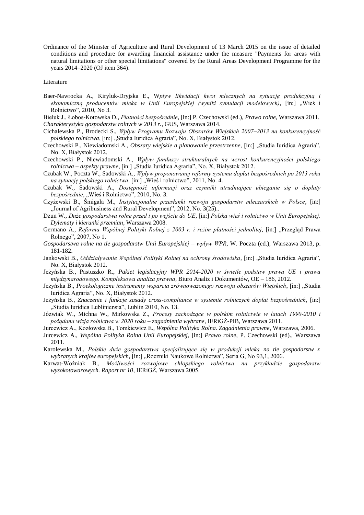Ordinance of the Minister of Agriculture and Rural Development of 13 March 2015 on the issue of detailed conditions and procedure for awarding financial assistance under the measure "Payments for areas with natural limitations or other special limitations" covered by the Rural Areas Development Programme for the years 2014–2020 (OJ item 364).

#### Literature

- Baer-Nawrocka A., Kiryluk-Dryjska E., W*pływ likwidacji kwot mlecznych na sytuację produkcyjną i*  ekonomiczną producentów mleka w Unii Europejskiej (wyniki symulacji modelowych), [in:] "Wieś i Rolnictwo", 2010, No 3.
- Bieluk J., Łobos-Kotowska D., *Płatności bezpośrednie*, [in:] P. Czechowski (ed.), *Prawo rolne*, Warszawa 2011. *Charakterystyka gospodarstw rolnych w 2013 r.*, GUS, Warszawa 2014.
- Cichalewska P., Brodecki S., *Wpływ Programu Rozwoju Obszarów Wiejskich 2007–2013 na konkurencyjność polskiego rolnictwa*, [in:] "Studia Iuridica Agraria", No. X, Białystok 2012.
- Czechowski P., Niewiadomski A., *Obszary wiejskie a planowanie przestrzenne*, [in:] "Studia Iuridica Agraria", No. X, Białystok 2012.
- Czechowski P., Niewiadomski A., *Wpływ funduszy strukturalnych na wzrost konkurencyjności polskiego rolnictwa – aspekty prawne*, [in:] "Studia Iuridica Agraria", No. X, Białystok 2012.
- Czubak W., Poczta W., Sadowski A., *Wpływ proponowanej reformy systemu dopłat bezpośrednich po 2013 roku na sytuację polskiego rolnictwa*, [in:] "Wieś i rolnictwo", 2011, No. 4.
- Czubak W., Sadowski A., *Dostępność informacji oraz czynniki utrudniające ubieganie się o dopłaty*  bezpośrednie, "Wieś i Rolnictwo", 2010, No. 3.
- Czyżewski B., Śmigala M., *Instytucjonalne przesłanki rozwoju gospodarstw mleczarskich w Polsce*, [in:] "Journal of Agribusiness and Rural Development", 2012, No. 3(25)...
- Dzun W., *Duże gospodarstwa rolne przed i po wejściu do UE*, [in:] *Polska wieś i rolnictwo w Unii Europejskiej. Dylematy i kierunki przemian*, Warszawa 2008.
- Germano A., *Reforma Wspólnej Polityki Rolnej z 2003 r. i reżim płatności jednolitej*, [in:] "Przegląd Prawa Rolnego", 2007, No 1.
- *Gospodarstwa rolne na tle gospodarstw Unii Europejskiej – wpływ WPR*, W. Poczta (ed.), Warszawa 2013, p. 181-182.
- Jankowski B., Oddziaływanie Wspólnej Polityki Rolnej na ochronę środowiska, [in:] "Studia Iuridica Agraria", No. X, Białystok 2012.
- Jeżyńska B., Pastuszko R., *Pakiet legislacyjny WPR 2014-2020 w świetle podstaw prawa UE i prawa międzynarodowego. Kompleksowa analiza prawna*, Biuro Analiz i Dokumentów, OE – 186, 2012.
- Jeżyńska B., *Proekologiczne instrumenty wsparcia zrównoważonego rozwoju obszarów Wiejskich*, [in:] "Studia Iuridica Agraria", No. X, Białystok 2012.
- Jeżyńska B., *Znaczenie i funkcje zasady cross-compliance w systemie rolniczych dopłat bezpośrednich*, [in:] "Studia Iuridica Lubliniensia", Lublin 2010, No. 13.
- Józwiak W., Michna W., Mirkowska Z., *Procesy zachodzące w polskim rolnictwie w latach 1990-2010 i pożądana wizja rolnictwa w 2020 roku – zagadnienia wybrane*, IERiGŻ-PIB, Warszawa 2011.
- Jurcewicz A., Kozłowska B., Tomkiewicz E., *Wspólna Polityka Rolna. Zagadnienia prawne*, Warszawa, 2006.
- Jurcewicz A., *Wspólna Polityka Rolna Unii Europejskiej*, [in:] *Prawo rolne*, P. Czechowski (ed)., Warszawa 2011.
- Karolewska M., *Polskie duże gospodarstwa specjalizujące się w produkcji mleka na tle gospodarstw z*  wybranych krajów europejskich, [in:] "Roczniki Naukowe Rolnictwa", Seria G, No 93,1, 2006.
- Karwat-Woźniak B., *Możliwości rozwojowe chłopskiego rolnictwa na przykładzie gospodarstw wysokotowarowych. Raport nr 10*, IERiGŻ, Warszawa 2005.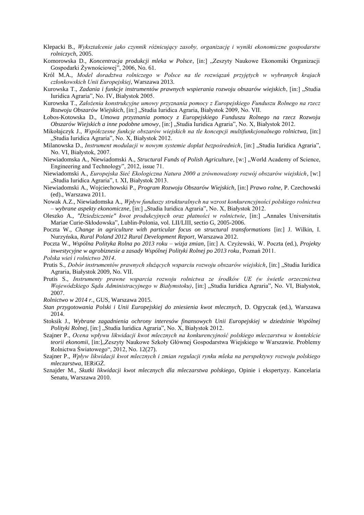- Klepacki B., *Wykształcenie jako czynnik różnicujący zasoby, organizację i wyniki ekonomiczne gospodarstw rolniczych*, 2005.
- Komorowska D., *Koncentracja produkcji mleka w Polsce*, [in:] "Zeszyty Naukowe Ekonomiki Organizacji Gospodarki Żywnościowej", 2006, No. 61.
- Król M.A., *Model doradztwa rolniczego w Polsce na tle rozwiązań przyjętych w wybranych krajach członkowskich Unii Europejskiej*, Warszawa 2013.
- Kurowska T., *Zadania i funkcje instrumentów prawnych wspierania rozwoju obszarów wiejskich*, [in:] "Studia Iuridica Agraria", No. IV, Białystok 2005.
- Kurowska T., *Założenia konstrukcyjne umowy przyznania pomocy z Europejskiego Funduszu Rolnego na rzecz Rozwoju Obszarów Wiejskich*, [in:] "Studia Iuridica Agraria, Białystok 2009, No. VII.
- Łobos-Kotowska D., *Umowa przyznania pomocy z Europejskiego Funduszu Rolnego na rzecz Rozwoju Obszarów Wiejskich a inne podobne umowy*, [in:] "Studia Iuridica Agraria", No. X, Białystok 2012.
- Mikołajczyk J., *Współczesne funkcje obszarów wiejskich na tle koncepcji multifunkcjonalnego rolnictwa*, [in:] "Studia Iuridica Agraria", No. X, Białystok 2012.
- Milanowska D., *Instrument modulacji w nowym systemie dopłat bezpośrednich*, [in:] "Studia Iuridica Agraria", No. VI, Białystok, 2007.
- Niewiadomska A., Niewiadomski A., *Structural Funds of Polish Agriculture*, [w:] "World Academy of Science, Engineering and Technology", 2012, issue 71.
- Niewiadomski A., *Europejska Sieć Ekologiczna Natura 2000 a zrównoważony rozwój obszarów wiejskich*, [w:] "Studia Iuridica Agraria", t. XI, Białystok 2013.
- Niewiadomski A., Wojciechowski P., *Program Rozwoju Obszarów Wiejskich*, [in:] *Prawo rolne*, P. Czechowski (ed)., Warszawa 2011.
- Nowak A.Z., Niewiadomska A., *Wpływ funduszy strukturalnych na wzrost konkurencyjności polskiego rolnictwa – wybrane aspekty ekonomiczne*, [in:] "Studia Iuridica Agraria", No. X, Białystok 2012.
- Oleszko A., *"Dziedziczenie" kwot produkcyjnych oraz płatności w rolnictwie*, [in:] "Annales Universitatis Mariae Curie-Skłodowska", Lublin-Polonia, vol. LII/LIII, sectio G, 2005-2006.
- Poczta W., *Change in agriculture with particular focus on structural transformations* [in:] J. Wilkin, I. Nurzyńska, *Rural Poland 2012 Rural Development Report,* Warszawa 2012.
- Poczta W., *Wspólna Polityka Rolna po 2013 roku – wizja zmian*, [in:] A. Czyżewski, W. Poczta (ed.), *Projekty inwestycyjne w agrobiznesie a zasady Wspólnej Polityki Rolnej po 2013 roku*, Poznań 2011.
- *Polska wieś i rolnictwo 2014*.
- Prutis S., *Dobór instrumentów prawnych służących wsparciu rozwoju obszarów wiejskich*, [in:] "Studia Iuridica Agraria, Białystok 2009, No. VII.
- Prutis S., *Instrumenty prawne wsparcia rozwoju rolnictwa ze środków UE (w świetle orzecznictwa Wojewódzkiego Sądu Administracyjnego w Białymstoku)*, [in:] "Studia Iuridica Agraria", No. VI, Białystok, 2007.

*Rolnictwo w 2014 r.*, GUS, Warszawa 2015.

- *Stan przygotowania Polski i Unii Europejskiej do zniesienia kwot mlecznych*, D. Ogryczak (ed.), Warszawa 2014.
- Stoksik J., *Wybrane zagadnienia ochrony interesów finansowych Unii Europejskiej w dziedzinie Wspólnej Polityki Rolnej*, [in:] "Studia Iuridica Agraria", No. X, Białystok 2012.
- Szajner P., *Ocena wpływu likwidacji kwot mlecznych na konkurencyjność polskiego mleczarstwa w kontekście*  teorii ekonomii, [in:], Zeszyty Naukowe Szkoły Głównej Gospodarstwa Wiejskiego w Warszawie. Problemy Rolnictwa Światowego", 2012, No. 12(27).
- Szajner P., *Wpływ likwidacji kwot mlecznych i zmian regulacji rynku mleka na perspektywy rozwoju polskiego mleczarstwa*, IERiGŻ.
- Sznajder M., *Skutki likwidacji kwot mlecznych dla mleczarstwa polskiego*, Opinie i ekspertyzy. Kancelaria Senatu, Warszawa 2010.